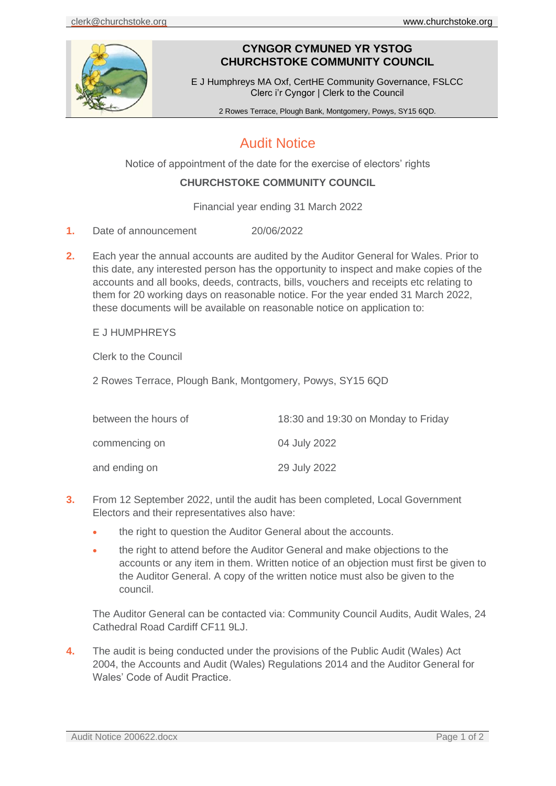

# **CYNGOR CYMUNED YR YSTOG CHURCHSTOKE COMMUNITY COUNCIL**

E J Humphreys MA Oxf, CertHE Community Governance, FSLCC Clerc i'r Cyngor | Clerk to the Council

2 Rowes Terrace, Plough Bank, Montgomery, Powys, SY15 6QD.

# Audit Notice

Notice of appointment of the date for the exercise of electors' rights

### **CHURCHSTOKE COMMUNITY COUNCIL**

Financial year ending 31 March 2022

- **1.** Date of announcement 20/06/2022
- **2.** Each year the annual accounts are audited by the Auditor General for Wales. Prior to this date, any interested person has the opportunity to inspect and make copies of the accounts and all books, deeds, contracts, bills, vouchers and receipts etc relating to them for 20 working days on reasonable notice. For the year ended 31 March 2022, these documents will be available on reasonable notice on application to:

### E J HUMPHREYS

Clerk to the Council

2 Rowes Terrace, Plough Bank, Montgomery, Powys, SY15 6QD

| between the hours of | 18:30 and 19:30 on Monday to Friday |
|----------------------|-------------------------------------|
| commencing on        | 04 July 2022                        |
| and ending on        | 29 July 2022                        |

- **3.** From 12 September 2022, until the audit has been completed, Local Government Electors and their representatives also have:
	- the right to question the Auditor General about the accounts.
	- the right to attend before the Auditor General and make objections to the accounts or any item in them. Written notice of an objection must first be given to the Auditor General. A copy of the written notice must also be given to the council.

The Auditor General can be contacted via: Community Council Audits, Audit Wales, 24 Cathedral Road Cardiff CF11 9LJ.

**4.** The audit is being conducted under the provisions of the Public Audit (Wales) Act 2004, the Accounts and Audit (Wales) Regulations 2014 and the Auditor General for Wales' Code of Audit Practice.